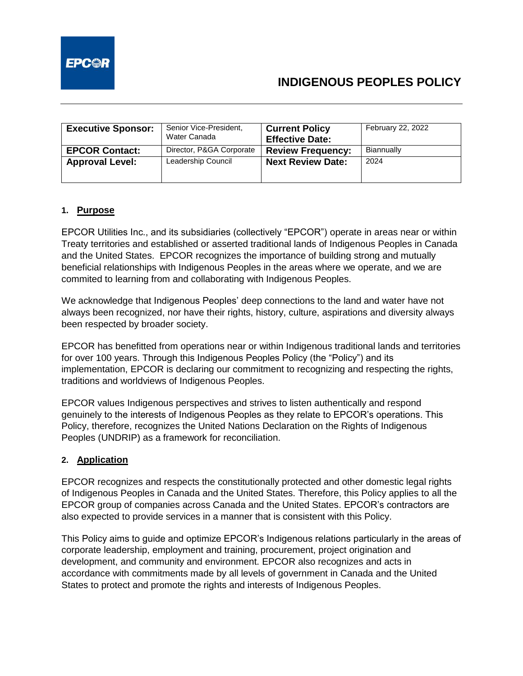

# **INDIGENOUS PEOPLES POLICY**

| <b>Executive Sponsor:</b> | Senior Vice-President,<br>Water Canada | <b>Current Policy</b><br><b>Effective Date:</b> | February 22, 2022 |
|---------------------------|----------------------------------------|-------------------------------------------------|-------------------|
| <b>EPCOR Contact:</b>     | Director, P&GA Corporate               | <b>Review Frequency:</b>                        | Biannually        |
| <b>Approval Level:</b>    | Leadership Council                     | <b>Next Review Date:</b>                        | 2024              |

#### **1. Purpose**

EPCOR Utilities Inc., and its subsidiaries (collectively "EPCOR") operate in areas near or within Treaty territories and established or asserted traditional lands of Indigenous Peoples in Canada and the United States. EPCOR recognizes the importance of building strong and mutually beneficial relationships with Indigenous Peoples in the areas where we operate, and we are commited to learning from and collaborating with Indigenous Peoples.

We acknowledge that Indigenous Peoples' deep connections to the land and water have not always been recognized, nor have their rights, history, culture, aspirations and diversity always been respected by broader society.

EPCOR has benefitted from operations near or within Indigenous traditional lands and territories for over 100 years. Through this Indigenous Peoples Policy (the "Policy") and its implementation, EPCOR is declaring our commitment to recognizing and respecting the rights, traditions and worldviews of Indigenous Peoples.

EPCOR values Indigenous perspectives and strives to listen authentically and respond genuinely to the interests of Indigenous Peoples as they relate to EPCOR's operations. This Policy, therefore, recognizes the United Nations Declaration on the Rights of Indigenous Peoples (UNDRIP) as a framework for reconciliation.

#### **2. Application**

EPCOR recognizes and respects the constitutionally protected and other domestic legal rights of Indigenous Peoples in Canada and the United States. Therefore, this Policy applies to all the EPCOR group of companies across Canada and the United States. EPCOR's contractors are also expected to provide services in a manner that is consistent with this Policy.

This Policy aims to guide and optimize EPCOR's Indigenous relations particularly in the areas of corporate leadership, employment and training, procurement, project origination and development, and community and environment. EPCOR also recognizes and acts in accordance with commitments made by all levels of government in Canada and the United States to protect and promote the rights and interests of Indigenous Peoples.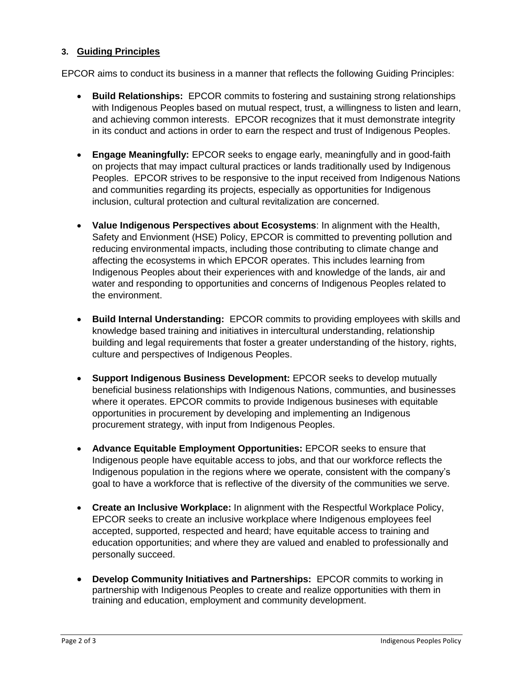### **3. Guiding Principles**

EPCOR aims to conduct its business in a manner that reflects the following Guiding Principles:

- **Build Relationships:** EPCOR commits to fostering and sustaining strong relationships with Indigenous Peoples based on mutual respect, trust, a willingness to listen and learn, and achieving common interests. EPCOR recognizes that it must demonstrate integrity in its conduct and actions in order to earn the respect and trust of Indigenous Peoples.
- **Engage Meaningfully:** EPCOR seeks to engage early, meaningfully and in good-faith on projects that may impact cultural practices or lands traditionally used by Indigenous Peoples. EPCOR strives to be responsive to the input received from Indigenous Nations and communities regarding its projects, especially as opportunities for Indigenous inclusion, cultural protection and cultural revitalization are concerned.
- **Value Indigenous Perspectives about Ecosystems**: In alignment with the Health, Safety and Envionment (HSE) Policy, EPCOR is committed to preventing pollution and reducing environmental impacts, including those contributing to climate change and affecting the ecosystems in which EPCOR operates. This includes learning from Indigenous Peoples about their experiences with and knowledge of the lands, air and water and responding to opportunities and concerns of Indigenous Peoples related to the environment.
- **Build Internal Understanding:** EPCOR commits to providing employees with skills and knowledge based training and initiatives in intercultural understanding, relationship building and legal requirements that foster a greater understanding of the history, rights, culture and perspectives of Indigenous Peoples.
- **Support Indigenous Business Development:** EPCOR seeks to develop mutually beneficial business relationships with Indigenous Nations, communties, and businesses where it operates. EPCOR commits to provide Indigenous busineses with equitable opportunities in procurement by developing and implementing an Indigenous procurement strategy, with input from Indigenous Peoples.
- **Advance Equitable Employment Opportunities:** EPCOR seeks to ensure that Indigenous people have equitable access to jobs, and that our workforce reflects the Indigenous population in the regions where we operate, consistent with the company's goal to have a workforce that is reflective of the diversity of the communities we serve.
- **Create an Inclusive Workplace:** In alignment with the Respectful Workplace Policy, EPCOR seeks to create an inclusive workplace where Indigenous employees feel accepted, supported, respected and heard; have equitable access to training and education opportunities; and where they are valued and enabled to professionally and personally succeed.
- **Develop Community Initiatives and Partnerships:** EPCOR commits to working in partnership with Indigenous Peoples to create and realize opportunities with them in training and education, employment and community development.